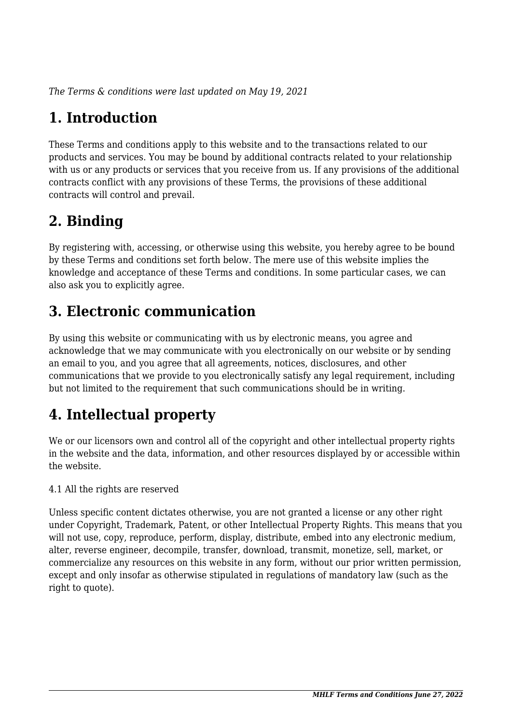*The Terms & conditions were last updated on May 19, 2021*

# **1. Introduction**

These Terms and conditions apply to this website and to the transactions related to our products and services. You may be bound by additional contracts related to your relationship with us or any products or services that you receive from us. If any provisions of the additional contracts conflict with any provisions of these Terms, the provisions of these additional contracts will control and prevail.

# **2. Binding**

By registering with, accessing, or otherwise using this website, you hereby agree to be bound by these Terms and conditions set forth below. The mere use of this website implies the knowledge and acceptance of these Terms and conditions. In some particular cases, we can also ask you to explicitly agree.

# **3. Electronic communication**

By using this website or communicating with us by electronic means, you agree and acknowledge that we may communicate with you electronically on our website or by sending an email to you, and you agree that all agreements, notices, disclosures, and other communications that we provide to you electronically satisfy any legal requirement, including but not limited to the requirement that such communications should be in writing.

# **4. Intellectual property**

We or our licensors own and control all of the copyright and other intellectual property rights in the website and the data, information, and other resources displayed by or accessible within the website.

4.1 All the rights are reserved

Unless specific content dictates otherwise, you are not granted a license or any other right under Copyright, Trademark, Patent, or other Intellectual Property Rights. This means that you will not use, copy, reproduce, perform, display, distribute, embed into any electronic medium, alter, reverse engineer, decompile, transfer, download, transmit, monetize, sell, market, or commercialize any resources on this website in any form, without our prior written permission, except and only insofar as otherwise stipulated in regulations of mandatory law (such as the right to quote).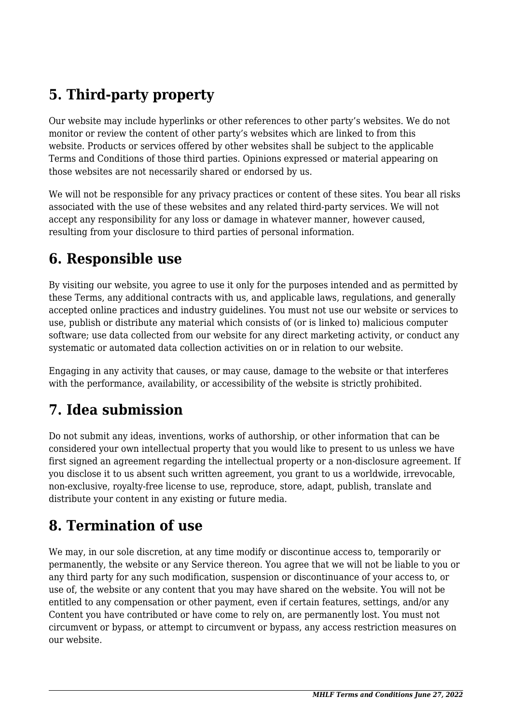# **5. Third-party property**

Our website may include hyperlinks or other references to other party's websites. We do not monitor or review the content of other party's websites which are linked to from this website. Products or services offered by other websites shall be subject to the applicable Terms and Conditions of those third parties. Opinions expressed or material appearing on those websites are not necessarily shared or endorsed by us.

We will not be responsible for any privacy practices or content of these sites. You bear all risks associated with the use of these websites and any related third-party services. We will not accept any responsibility for any loss or damage in whatever manner, however caused, resulting from your disclosure to third parties of personal information.

#### **6. Responsible use**

By visiting our website, you agree to use it only for the purposes intended and as permitted by these Terms, any additional contracts with us, and applicable laws, regulations, and generally accepted online practices and industry guidelines. You must not use our website or services to use, publish or distribute any material which consists of (or is linked to) malicious computer software; use data collected from our website for any direct marketing activity, or conduct any systematic or automated data collection activities on or in relation to our website.

Engaging in any activity that causes, or may cause, damage to the website or that interferes with the performance, availability, or accessibility of the website is strictly prohibited.

# **7. Idea submission**

Do not submit any ideas, inventions, works of authorship, or other information that can be considered your own intellectual property that you would like to present to us unless we have first signed an agreement regarding the intellectual property or a non-disclosure agreement. If you disclose it to us absent such written agreement, you grant to us a worldwide, irrevocable, non-exclusive, royalty-free license to use, reproduce, store, adapt, publish, translate and distribute your content in any existing or future media.

### **8. Termination of use**

We may, in our sole discretion, at any time modify or discontinue access to, temporarily or permanently, the website or any Service thereon. You agree that we will not be liable to you or any third party for any such modification, suspension or discontinuance of your access to, or use of, the website or any content that you may have shared on the website. You will not be entitled to any compensation or other payment, even if certain features, settings, and/or any Content you have contributed or have come to rely on, are permanently lost. You must not circumvent or bypass, or attempt to circumvent or bypass, any access restriction measures on our website.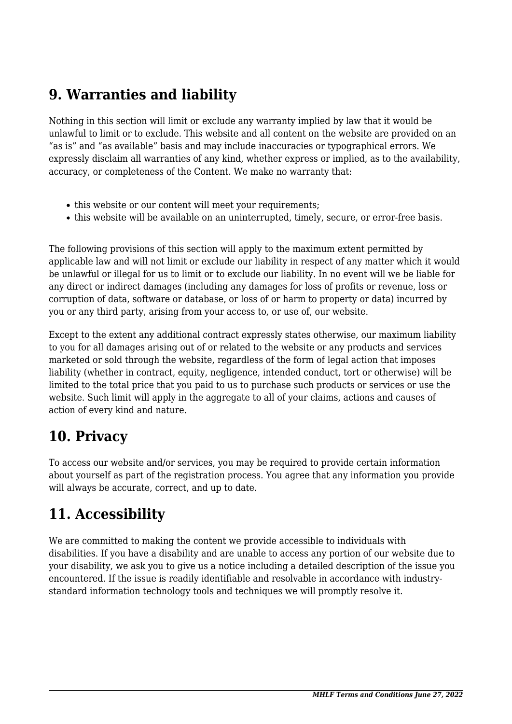### **9. Warranties and liability**

Nothing in this section will limit or exclude any warranty implied by law that it would be unlawful to limit or to exclude. This website and all content on the website are provided on an "as is" and "as available" basis and may include inaccuracies or typographical errors. We expressly disclaim all warranties of any kind, whether express or implied, as to the availability, accuracy, or completeness of the Content. We make no warranty that:

- this website or our content will meet your requirements;
- this website will be available on an uninterrupted, timely, secure, or error-free basis.

The following provisions of this section will apply to the maximum extent permitted by applicable law and will not limit or exclude our liability in respect of any matter which it would be unlawful or illegal for us to limit or to exclude our liability. In no event will we be liable for any direct or indirect damages (including any damages for loss of profits or revenue, loss or corruption of data, software or database, or loss of or harm to property or data) incurred by you or any third party, arising from your access to, or use of, our website.

Except to the extent any additional contract expressly states otherwise, our maximum liability to you for all damages arising out of or related to the website or any products and services marketed or sold through the website, regardless of the form of legal action that imposes liability (whether in contract, equity, negligence, intended conduct, tort or otherwise) will be limited to the total price that you paid to us to purchase such products or services or use the website. Such limit will apply in the aggregate to all of your claims, actions and causes of action of every kind and nature.

#### **10. Privacy**

To access our website and/or services, you may be required to provide certain information about yourself as part of the registration process. You agree that any information you provide will always be accurate, correct, and up to date.

### **11. Accessibility**

We are committed to making the content we provide accessible to individuals with disabilities. If you have a disability and are unable to access any portion of our website due to your disability, we ask you to give us a notice including a detailed description of the issue you encountered. If the issue is readily identifiable and resolvable in accordance with industrystandard information technology tools and techniques we will promptly resolve it.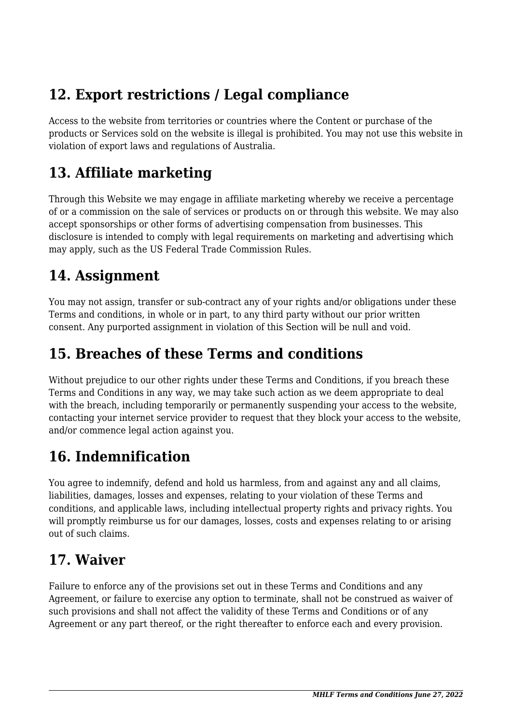## **12. Export restrictions / Legal compliance**

Access to the website from territories or countries where the Content or purchase of the products or Services sold on the website is illegal is prohibited. You may not use this website in violation of export laws and regulations of Australia.

### **13. Affiliate marketing**

Through this Website we may engage in affiliate marketing whereby we receive a percentage of or a commission on the sale of services or products on or through this website. We may also accept sponsorships or other forms of advertising compensation from businesses. This disclosure is intended to comply with legal requirements on marketing and advertising which may apply, such as the US Federal Trade Commission Rules.

### **14. Assignment**

You may not assign, transfer or sub-contract any of your rights and/or obligations under these Terms and conditions, in whole or in part, to any third party without our prior written consent. Any purported assignment in violation of this Section will be null and void.

### **15. Breaches of these Terms and conditions**

Without prejudice to our other rights under these Terms and Conditions, if you breach these Terms and Conditions in any way, we may take such action as we deem appropriate to deal with the breach, including temporarily or permanently suspending your access to the website, contacting your internet service provider to request that they block your access to the website, and/or commence legal action against you.

# **16. Indemnification**

You agree to indemnify, defend and hold us harmless, from and against any and all claims, liabilities, damages, losses and expenses, relating to your violation of these Terms and conditions, and applicable laws, including intellectual property rights and privacy rights. You will promptly reimburse us for our damages, losses, costs and expenses relating to or arising out of such claims.

#### **17. Waiver**

Failure to enforce any of the provisions set out in these Terms and Conditions and any Agreement, or failure to exercise any option to terminate, shall not be construed as waiver of such provisions and shall not affect the validity of these Terms and Conditions or of any Agreement or any part thereof, or the right thereafter to enforce each and every provision.